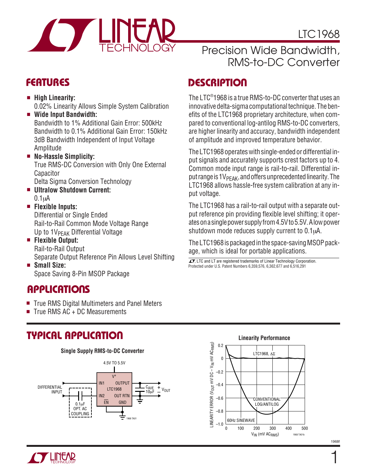

### Precision Wide Bandwidth, RMS-to-DC Converter

- **High Linearity:** 0.02% Linearity Allows Simple System Calibration
- **Wide Input Bandwidth:** Bandwidth to 1% Additional Gain Error: 500kHz Bandwidth to 0.1% Additional Gain Error: 150kHz 3dB Bandwidth Independent of Input Voltage Amplitude

### ■ **No-Hassle Simplicity:** True RMS-DC Conversion with Only One External Capacitor

Delta Sigma Conversion Technology

■ **Ultralow Shutdown Current:**  $0.1<sub>u</sub>A$ 

### ■ **Flexible Inputs:**

Differential or Single Ended Rail-to-Rail Common Mode Voltage Range Up to 1V<sub>PFAK</sub> Differential Voltage

■ **Flexible Output:** Rail-to-Rail Output

Separate Output Reference Pin Allows Level Shifting ■ **Small Size:**

Space Saving 8-Pin MSOP Package

# **APPLICATIONS**

- True RMS Digital Multimeters and Panel Meters
- $Time$  RMS  $AC + DC$  Measurements

# **TYPICAL APPLICATIO U**



# **DESCRIPTIO <sup>U</sup> FEATURES**

The LTC® 1968 is a true RMS-to-DC converter that uses an innovative delta-sigma computational technique. The benefits of the LTC1968 proprietary architecture, when compared to conventional log-antilog RMS-to-DC converters, are higher linearity and accuracy, bandwidth independent of amplitude and improved temperature behavior.

The LTC1968 operates with single-ended or differential input signals and accurately supports crest factors up to 4. Common mode input range is rail-to-rail. Differential input range is  $1V_{PFAK}$ , and offers unprecedented linearity. The LTC1968 allows hassle-free system calibration at any input voltage.

The LTC1968 has a rail-to-rail output with a separate output reference pin providing flexible level shifting; it operates on a single power supply from 4.5V to 5.5V. A low power shutdown mode reduces supply current to 0.1 $\mu$ A.

The LTC1968 is packaged in the space-saving MSOP package, which is ideal for portable applications.

 $\overline{\mathcal{L}}$ . LTC and LT are registered trademarks of Linear Technology Corporation. Protected under U.S. Patent Numbers 6,359,576, 6,362,677 and 6,516,291



1968f

1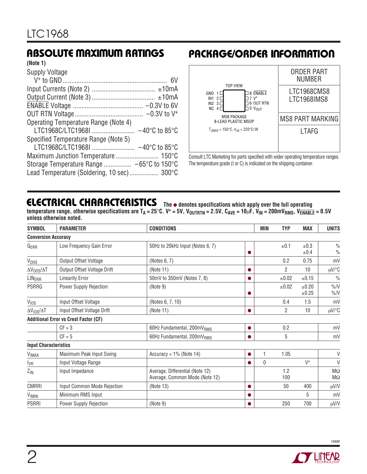#### **(Note 1)**

| Supply Voltage                             |  |
|--------------------------------------------|--|
|                                            |  |
|                                            |  |
|                                            |  |
|                                            |  |
|                                            |  |
| Operating Temperature Range (Note 4)       |  |
|                                            |  |
| Specified Temperature Range (Note 5)       |  |
|                                            |  |
|                                            |  |
|                                            |  |
| Lead Temperature (Soldering, 10 sec) 300°C |  |

### **ABSOLUTE MAXIMUM RATINGS PACKAGE/ORDER INFORMATION**



Consult LTC Marketing for parts specified with wider operating temperature ranges. The temperature grade (I or C) is indicated on the shipping container.

### **ELECTRICAL CHARACTERISTICS** The  $\bullet$  denotes specifications which apply over the full operating

temperature range, otherwise specifications are  $T_A = 25^\circ C$ . V<sup>+</sup> = 5V, V<sub>OUTRTN</sub> = 2.5V, C<sub>AVE</sub> = 10<sub>k</sub>F, V<sub>IN</sub> = 200mV<sub>RMS</sub>, V<sub>ENABLE</sub> = 0.5V **unless otherwise noted.**

| <b>SYMBOL</b>                | <b>PARAMETER</b>                             | <b>CONDITIONS</b>                                                 |           | <b>MIN</b> | <b>TYP</b>     | <b>MAX</b>          | <b>UNITS</b>                   |
|------------------------------|----------------------------------------------|-------------------------------------------------------------------|-----------|------------|----------------|---------------------|--------------------------------|
| <b>Conversion Accuracy</b>   |                                              |                                                                   |           |            |                |                     |                                |
| G <sub>ERR</sub>             | Low Frequency Gain Error                     | 50Hz to 20kHz Input (Notes 6, 7)                                  |           |            | ±0.1           | $\pm 0.3$<br>±0.4   | $\frac{0}{0}$<br>$\frac{0}{0}$ |
| $V_{OOS}$                    | Output Offset Voltage                        | (Notes 6, 7)                                                      |           |            | 0.2            | 0.75                | mV                             |
| $\Delta V_{00S}/\Delta T$    | Output Offset Voltage Drift                  | (Note 11)                                                         |           |            | $\overline{2}$ | 10                  | µV/°C                          |
| <b>LINERR</b>                | <b>Linearity Error</b>                       | 50mV to 350mV (Notes 7, 8)                                        |           |            | ±0.02          | ±0.15               | $\frac{0}{0}$                  |
| <b>PSRRG</b>                 | Power Supply Rejection                       | (Note 9)                                                          |           |            | ±0.02          | $\pm 0.20$<br>±0.25 | $\%$ /V<br>$\%$ /V             |
| V <sub>IOS</sub>             | Input Offset Voltage                         | (Notes 6, 7, 10)                                                  |           |            | 0.4            | 1.5                 | mV                             |
| $\Delta V_{10S}/\Delta T$    | Input Offset Voltage Drift                   | (Note 11)                                                         |           |            | $\overline{2}$ | 10 <sup>1</sup>     | $\mu V$ /°C                    |
|                              | <b>Additional Error vs Crest Factor (CF)</b> |                                                                   |           |            |                |                     |                                |
|                              | $CF = 3$                                     | 60Hz Fundamental, 200mV <sub>RMS</sub>                            | $\bullet$ |            | 0.2            |                     | mV                             |
|                              | $CF = 5$                                     | 60Hz Fundamental, 200mV <sub>RMS</sub>                            |           |            | 5              |                     | mV                             |
| <b>Input Characteristics</b> |                                              |                                                                   |           |            |                |                     |                                |
| <b>VIMAX</b>                 | Maximum Peak Input Swing                     | Accuracy = $1\%$ (Note 14)                                        |           | 1          | 1.05           |                     | $\vee$                         |
| $I_{VR}$                     | Input Voltage Range                          |                                                                   |           | $\Omega$   |                | $V^+$               | V                              |
| $Z_{IN}$                     | Input Impedance                              | Average, Differential (Note 12)<br>Average, Common Mode (Note 12) |           |            | 1.2<br>100     |                     | $\sf M\Omega$<br>$M\Omega$     |
| <b>CMRRI</b>                 | Input Common Mode Rejection                  | (Note 13)                                                         |           |            | 50             | 400                 | μV/V                           |
| VIMIN                        | Minimum RMS Input                            |                                                                   |           |            |                | 5                   | mV                             |
| <b>PSRRI</b>                 | Power Supply Rejection                       | (Note 9)                                                          |           |            | 250            | 700                 | μV/V                           |

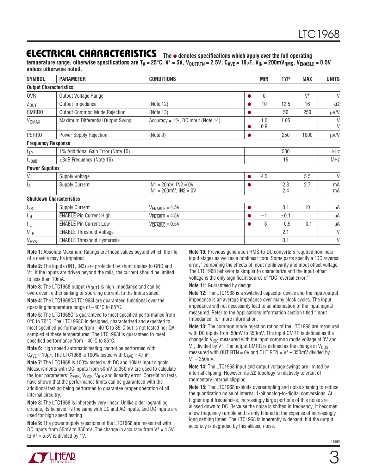### **ELECTRICAL CHARACTERISTICS** The  $\bullet$  denotes specifications which apply over the full operating

temperature range, otherwise specifications are  $T_A = 25^\circ C$ .  $V^+ = 5V$ ,  $V_{\text{OUTRTN}} = 2.5V$ ,  $C_{\text{AVE}} = 10 \mu F$ ,  $V_{\text{IN}} = 200 \text{mV}_{\text{RMS}}$ ,  $V_{\overline{\text{ENABLE}}} = 0.5V$ **unless otherwise noted.**

| <b>SYMBOL</b>                 | <b>PARAMETER</b>                    | <b>CONDITIONS</b>                                       |           | MIN         | <b>TYP</b> | <b>MAX</b> | <b>UNITS</b>       |
|-------------------------------|-------------------------------------|---------------------------------------------------------|-----------|-------------|------------|------------|--------------------|
| <b>Output Characteristics</b> |                                     |                                                         |           |             |            |            |                    |
| 0VR                           | Output Voltage Range                |                                                         | $\bullet$ | $\mathbf 0$ |            | $V^+$      | V                  |
| $Z_{OUT}$                     | Output Impedance                    | (Note 12)                                               |           | 10          | 12.5       | 16         | $\mathsf{k}\Omega$ |
| <b>CMRRO</b>                  | <b>Output Common Mode Rejection</b> | (Note 13)                                               |           |             | 50         | 250        | μV/V               |
| <b>V<sub>OMAX</sub></b>       | Maximum Differential Output Swing   | Accuracy = $1\%$ , DC Input (Note 14)                   |           | 1.0<br>0.9  | 1.05       |            | $\vee$<br>$\vee$   |
| PSRR0                         | Power Supply Rejection              | (Note 9)                                                |           |             | 250        | 1000       | μV/V               |
| <b>Frequency Response</b>     |                                     |                                                         |           |             |            |            |                    |
| $f_{1P}$                      | 1% Additional Gain Error (Note 15)  |                                                         |           |             | 500        |            | kHz                |
| $f_{-3dB}$                    | $\pm 3$ dB Frequency (Note 15)      |                                                         |           |             | 15         |            | <b>MHz</b>         |
| <b>Power Supplies</b>         |                                     |                                                         |           |             |            |            |                    |
| $V^+$                         | <b>Supply Voltage</b>               |                                                         | $\bullet$ | 4.5         |            | 5.5        | $\vee$             |
| ls.                           | <b>Supply Current</b>               | $IN1 = 20mV$ , $IN2 = 0V$<br>$IN1 = 200mV$ , $IN2 = 0V$ |           |             | 2.3<br>2.4 | 2.7        | mA<br>mA           |
|                               | <b>Shutdown Characteristics</b>     |                                                         |           |             |            |            |                    |
| Iss                           | <b>Supply Current</b>               | $V_{ENABLE} = 4.5V$                                     | $\bullet$ |             | 0.1        | 10         | μA                 |
| IЩ                            | <b>ENABLE Pin Current High</b>      | $V_{ENABLE} = 4.5V$                                     |           | $-1$        | $-0.1$     |            | μA                 |
| 址                             | <b>ENABLE</b> Pin Current Low       | $V_{\overline{ENABLE}} = 0.5V$                          |           | $-3$        | $-0.5$     | $-0.1$     | μA                 |
| V <sub>TH</sub>               | <b>ENABLE Threshold Voltage</b>     |                                                         |           |             | 2.1        |            | $\vee$             |
| VHYS                          | <b>ENABLE Threshold Hysteresis</b>  |                                                         |           |             | 0.1        |            | $\vee$             |

**Note 1:** Absolute Maximum Ratings are those values beyond which the life of a device may be impaired.

**Note 2:** The inputs (IN1, IN2) are protected by shunt diodes to GND and V+. If the inputs are driven beyond the rails, the current should be limited to less than 10mA.

**Note 3:** The LTC1968 output  $(V_{\text{OUT}})$  is high impedance and can be overdriven, either sinking or sourcing current, to the limits stated.

**Note 4:** The LTC1968C/LTC1968I are guaranteed functional over the operating temperature range of –40°C to 85°C.

**Note 5:** The LTC1968C is guaranteed to meet specified performance from 0°C to 70°C. The LTC1968C is designed, characterized and expected to meet specified performance from –40°C to 85°C but is not tested nor QA sampled at these temperatures. The LTC1968I is guaranteed to meet specified performance from –40°C to 85°C.

**Note 6:** High speed automatic testing cannot be performed with  $C_{AVE}$  = 10 $\mu$ F. The LTC1968 is 100% tested with  $C_{AVE}$  = 47nF.

**Note 7:** The LTC1968 is 100% tested with DC and 10kHz input signals. Measurements with DC inputs from 50mV to 350mV are used to calculate the four parameters:  $G_{\text{ERR}}$ ,  $V_{\text{OOS}}$ ,  $V_{\text{IOS}}$  and linearity error. Correlation tests have shown that the performance limits can be guaranteed with the additional testing being performed to guarantee proper operation of all internal circuitry.

**Note 8:** The LTC1968 is inherently very linear. Unlike older log/antilog circuits, its behavior is the same with DC and AC inputs, and DC inputs are used for high speed testing.

**Note 9:** The power supply rejections of the LTC1968 are measured with DC inputs from 50mV to 350mV. The change in accuracy from  $V^+ = 4.5V$ to  $V^+$  = 5.5V is divided by 1V.

**Note 10:** Previous generation RMS-to-DC converters required nonlinear input stages as well as a nonlinear core. Some parts specify a "DC reversal error," combining the effects of input nonlinearity and input offset voltage. The LTC1968 behavior is simpler to characterize and the input offset voltage is the only significant source of "DC reversal error."

#### **Note 11:** Guaranteed by design.

**Note 12:** The LTC1968 is a switched capacitor device and the input/output impedance is an average impedance over many clock cycles. The input impedance will not necessarily lead to an attenuation of the input signal measured. Refer to the Applications Information section titled "Input Impedance" for more information.

**Note 13:** The common mode rejection ratios of the LTC1968 are measured with DC inputs from 50mV to 350mV. The input CMRR is defined as the change in  $V_{10S}$  measured with the input common mode voltage at OV and  $V^+$ , divided by  $V^+$ . The output CMRR is defined as the change in  $V_{OOS}$ measured with OUT RTN = 0V and OUT RTN =  $V^+$  – 350mV divided by  $V^+ - 350$  mV.

**Note 14:** The LTC1968 input and output voltage swings are limited by internal clipping. However, its ∆Σ topology is relatively tolerant of momentary internal clipping.

**Note 15:** The LTC1968 exploits oversampling and noise shaping to reduce the quantization noise of internal 1-bit analog-to-digital conversions. At higher input frequencies, increasingly large portions of this noise are aliased down to DC. Because the noise is shifted in frequency, it becomes a low frequency rumble and is only filtered at the expense of increasingly long settling times. The LTC1968 is inherently wideband, but the output accuracy is degraded by this aliased noise.

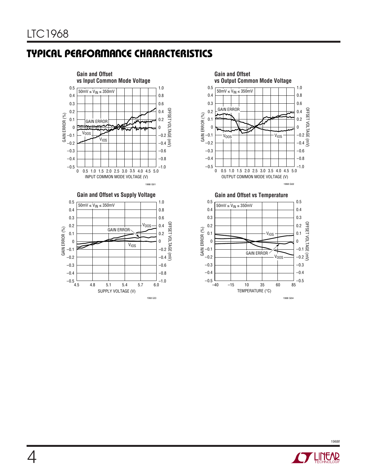## **TYPICAL PERFORMANCE CHARACTERISTICS**









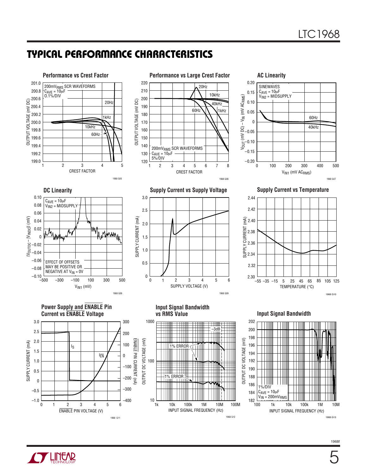### **TYPICAL PERFORMANCE CHARACTERISTICS**



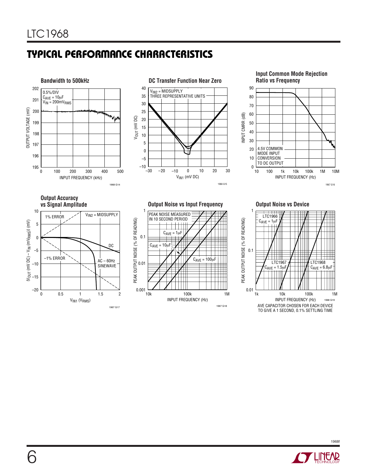## **TYPICAL PERFORMANCE CHARACTERISTICS**



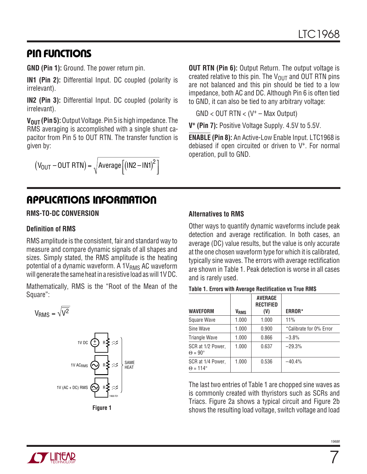### **PIN FUNCTIONS**

**GND (Pin 1):** Ground. The power return pin.

**IN1 (Pin 2):** Differential Input. DC coupled (polarity is irrelevant).

**IN2 (Pin 3):** Differential Input. DC coupled (polarity is irrelevant).

**V<sub>OUT</sub>** (Pin 5): Output Voltage. Pin 5 is high impedance. The RMS averaging is accomplished with a single shunt capacitor from Pin 5 to OUT RTN. The transfer function is given by:

$$
(V_{OUT} - OUT RTN) = \sqrt{Average [(IN2 - IN1)^{2}]}
$$

**APPLICATIONS INFORMATION** 

#### **RMS-TO-DC CONVERSION**

#### **Definition of RMS**

RMS amplitude is the consistent, fair and standard way to measure and compare dynamic signals of all shapes and sizes. Simply stated, the RMS amplitude is the heating potential of a dynamic waveform. A 1V<sub>RMS</sub> AC waveform will generate the same heat in a resistive load as will 1V DC.

Mathematically, RMS is the "Root of the Mean of the Square":

$$
V_{RMS} = \sqrt{V^2}
$$



**Figure 1**

**OUT RTN (Pin 6):** Output Return. The output voltage is created relative to this pin. The  $V_{OUT}$  and OUT RTN pins are not balanced and this pin should be tied to a low impedance, both AC and DC. Although Pin 6 is often tied to GND, it can also be tied to any arbitrary voltage:

 $GND < OUT$  RTN  $< (V^+ - Max$  Output)

**V+ (Pin 7):** Positive Voltage Supply. 4.5V to 5.5V.

**ENABLE (Pin 8):** An Active-Low Enable Input. LTC1968 is debiased if open circuited or driven to V+. For normal operation, pull to GND.

#### **Alternatives to RMS**

Other ways to quantify dynamic waveforms include peak detection and average rectification. In both cases, an average (DC) value results, but the value is only accurate at the one chosen waveform type for which it is calibrated, typically sine waves. The errors with average rectification are shown in Table 1. Peak detection is worse in all cases and is rarely used.

| Table 1. Errors with Average Rectification vs True RMS |  |  |
|--------------------------------------------------------|--|--|
|--------------------------------------------------------|--|--|

|                                           |                  | <b>AVERAGE</b><br><b>RECTIFIED</b> |                         |
|-------------------------------------------|------------------|------------------------------------|-------------------------|
| <b>WAVEFORM</b>                           | V <sub>RMS</sub> | (V)                                | <b>ERROR*</b>           |
| Square Wave                               | 1.000            | 1.000                              | 11%                     |
| Sine Wave                                 | 1.000            | 0.900                              | *Calibrate for 0% Error |
| <b>Triangle Wave</b>                      | 1.000            | 0.866                              | $-3.8%$                 |
| SCR at 1/2 Power,<br>$\Theta = 90^\circ$  | 1.000            | 0.637                              | $-29.3%$                |
| SCR at 1/4 Power,<br>$\Theta = 114^\circ$ | 1.000            | 0.536                              | $-40.4%$                |

The last two entries of Table 1 are chopped sine waves as is commonly created with thyristors such as SCRs and Triacs. Figure 2a shows a typical circuit and Figure 2b shows the resulting load voltage, switch voltage and load



7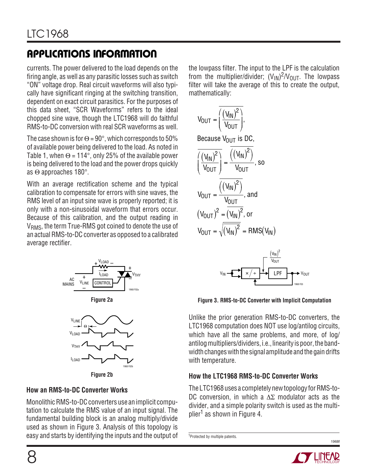# **APPLICATIO S I FOR ATIO W U U U**

currents. The power delivered to the load depends on the firing angle, as well as any parasitic losses such as switch "ON" voltage drop. Real circuit waveforms will also typically have significant ringing at the switching transition, dependent on exact circuit parasitics. For the purposes of this data sheet, "SCR Waveforms" refers to the ideal chopped sine wave, though the LTC1968 will do faithful RMS-to-DC conversion with real SCR waveforms as well.

The case shown is for  $\Theta = 90^\circ$ , which corresponds to 50% of available power being delivered to the load. As noted in Table 1, when  $\Theta = 114^{\circ}$ , only 25% of the available power is being delivered to the load and the power drops quickly as Θ approaches 180°.

With an average rectification scheme and the typical calibration to compensate for errors with sine waves, the RMS level of an input sine wave is properly reported; it is only with a non-sinusoidal waveform that errors occur. Because of this calibration, and the output reading in V<sub>RMS</sub>, the term True-RMS got coined to denote the use of an actual RMS-to-DC converter as opposed to a calibrated average rectifier.



**Figure 2b**

1968 F02b

### **How an RMS-to-DC Converter Works**

Monolithic RMS-to-DC converters use an implicit computation to calculate the RMS value of an input signal. The fundamental building block is an analog multiply/divide used as shown in Figure 3. Analysis of this topology is easy and starts by identifying the inputs and the output of the lowpass filter. The input to the LPF is the calculation from the multiplier/divider;  $(\mathsf{V}_{\mathsf{IN}})^2/\mathsf{V}_{\mathsf{OUT}}.$  The lowpass filter will take the average of this to create the output, mathematically:

$$
V_{OUT} = \frac{\overline{\left(\frac{(V_{IN})^2}{V_{OUT}}\right)}},
$$
  
Because  $V_{OUT}$  is DC,  

$$
\overline{\left(\frac{(V_{IN})^2}{V_{OUT}}\right)} = \frac{\overline{\left((V_{IN})^2\right)}}{V_{OUT}},
$$
so
$$
V_{OUT} = \frac{\overline{\left((V_{IN})^2\right)}}{V_{OUT}},
$$
and
$$
(V_{OUT})^2 = \overline{\left(V_{IN}\right)^2},
$$
or

$$
V_{OUT} = \sqrt{\overline{(V_{IN})^2}} = RMS(V_{IN})
$$



**Figure 3. RMS-to-DC Converter with Implicit Computation**

Unlike the prior generation RMS-to-DC converters, the LTC1968 computation does NOT use log/antilog circuits, which have all the same problems, and more, of log/ antilog multipliers/dividers, i.e., linearity is poor, the bandwidth changes with the signal amplitude and the gain drifts with temperature.

### **How the LTC1968 RMS-to-DC Converter Works**

The LTC1968 uses a completely new topology for RMS-to-DC conversion, in which a ∆Σ modulator acts as the divider, and a simple polarity switch is used as the multiplier<sup>1</sup> as shown in Figure 4.

```
1Protected by multiple patents.
```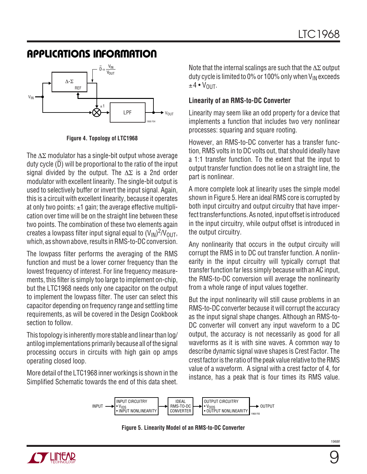

**Figure 4. Topology of LTC1968**

The ∆Σ modulator has a single-bit output whose average duty cycle (D) will be proportional to the ratio of the input signal divided by the output. The  $\Delta \Sigma$  is a 2nd order modulator with excellent linearity. The single-bit output is used to selectively buffer or invert the input signal. Again, this is a circuit with excellent linearity, because it operates at only two points:  $\pm 1$  gain; the average effective multiplication over time will be on the straight line between these two points. The combination of these two elements again creates a lowpass filter input signal equal to  $(\mathsf{V}_{\mathsf{IN}})^2/\mathsf{V}_{\mathsf{OUT}},$ which, as shown above, results in RMS-to-DC conversion.

The lowpass filter performs the averaging of the RMS function and must be a lower corner frequency than the lowest frequency of interest. For line frequency measurements, this filter is simply too large to implement on-chip, but the LTC1968 needs only one capacitor on the output to implement the lowpass filter. The user can select this capacitor depending on frequency range and settling time requirements, as will be covered in the Design Cookbook section to follow.

This topology is inherently more stable and linear than log/ antilog implementations primarily because all of the signal processing occurs in circuits with high gain op amps operating closed loop.

More detail of the LTC1968 inner workings is shown in the Simplified Schematic towards the end of this data sheet. Note that the internal scalings are such that the  $\Delta\Sigma$  output duty cycle is limited to 0% or 100% only when  $V_{IN}$  exceeds  $±4 •V$ <sup>OUT</sup>.

#### **Linearity of an RMS-to-DC Converter**

Linearity may seem like an odd property for a device that implements a function that includes two very nonlinear processes: squaring and square rooting.

However, an RMS-to-DC converter has a transfer function, RMS volts in to DC volts out, that should ideally have a 1:1 transfer function. To the extent that the input to output transfer function does not lie on a straight line, the part is nonlinear.

A more complete look at linearity uses the simple model shown in Figure 5. Here an ideal RMS core is corrupted by both input circuitry and output circuitry that have imperfect transfer functions. As noted, input offset is introduced in the input circuitry, while output offset is introduced in the output circuitry.

Any nonlinearity that occurs in the output circuity will corrupt the RMS in to DC out transfer function. A nonlinearity in the input circuitry will typically corrupt that transfer function far less simply because with an AC input, the RMS-to-DC conversion will average the nonlinearity from a whole range of input values together.

But the input nonlinearity will still cause problems in an RMS-to-DC converter because it will corrupt the accuracy as the input signal shape changes. Although an RMS-to-DC converter will convert any input waveform to a DC output, the accuracy is not necessarily as good for all waveforms as it is with sine waves. A common way to describe dynamic signal wave shapes is Crest Factor. The crest factor is the ratio of the peak value relative to the RMS value of a waveform. A signal with a crest factor of 4, for instance, has a peak that is four times its RMS value.



**Figure 5. Linearity Model of an RMS-to-DC Converter**

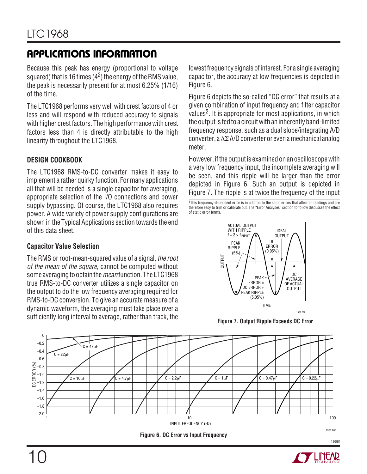Because this peak has energy (proportional to voltage squared) that is 16 times ( $4<sup>2</sup>$ ) the energy of the RMS value, the peak is necessarily present for at most 6.25% (1/16) of the time.

The LTC1968 performs very well with crest factors of 4 or less and will respond with reduced accuracy to signals with higher crest factors. The high performance with crest factors less than 4 is directly attributable to the high linearity throughout the LTC1968.

#### **DESIGN COOKBOOK**

The LTC1968 RMS-to-DC converter makes it easy to implement a rather quirky function. For many applications all that will be needed is a single capacitor for averaging, appropriate selection of the I/O connections and power supply bypassing. Of course, the LTC1968 also requires power. A wide variety of power supply configurations are shown in the Typical Applications section towards the end of this data sheet.

#### **Capacitor Value Selection**

The RMS or root-mean-squared value of a signal, the root of the mean of the square, cannot be computed without some averaging to obtain the *mean* function. The LTC1968 true RMS-to-DC converter utilizes a single capacitor on the output to do the low frequency averaging required for RMS-to-DC conversion. To give an accurate measure of a dynamic waveform, the averaging must take place over a sufficiently long interval to average, rather than track, the

lowest frequency signals of interest. For a single averaging capacitor, the accuracy at low frequencies is depicted in Figure 6.

Figure 6 depicts the so-called "DC error" that results at a given combination of input frequency and filter capacitor values<sup>2</sup>. It is appropriate for most applications, in which the output is fed to a circuit with an inherently band-limited frequency response, such as a dual slope/integrating A/D converter, a ∆Σ A/D converter or even a mechanical analog meter.

However, if the output is examined on an oscilloscope with a very low frequency input, the incomplete averaging will be seen, and this ripple will be larger than the error depicted in Figure 6. Such an output is depicted in Figure 7. The ripple is at twice the frequency of the input

<sup>2</sup>This frequency-dependent error is in additon to the static errors that affect all readings and are therefore easy to trim or calibrate out. The "Error Analyses" section to follow discusses the effect of static error terms.



**Figure 7. Output Ripple Exceeds DC Error**





10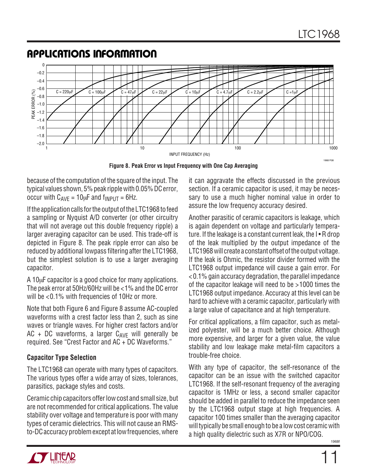

**Figure 8. Peak Error vs Input Frequency with One Cap Averaging**

because of the computation of the square of the input. The typical values shown, 5% peak ripple with 0.05% DC error, occur with  $C_{AVF} = 10\mu F$  and  $f_{INPIJT} = 6Hz$ .

If the application calls for the output of the LTC1968 to feed a sampling or Nyquist A/D converter (or other circuitry that will not average out this double frequency ripple) a larger averaging capacitor can be used. This trade-off is depicted in Figure 8. The peak ripple error can also be reduced by additional lowpass filtering after the LTC1968, but the simplest solution is to use a larger averaging capacitor.

A 10µF capacitor is a good choice for many applications. The peak error at 50Hz/60Hz will be <1% and the DC error will be <0.1% with frequencies of 10Hz or more.

Note that both Figure 6 and Figure 8 assume AC-coupled waveforms with a crest factor less than 2, such as sine waves or triangle waves. For higher crest factors and/or AC + DC waveforms, a larger  $C_{AVF}$  will generally be required. See "Crest Factor and AC + DC Waveforms."

#### **Capacitor Type Selection**

The LTC1968 can operate with many types of capacitors. The various types offer a wide array of sizes, tolerances, parasitics, package styles and costs.

Ceramic chip capacitors offer low cost and small size, but are not recommended for critical applications. The value stability over voltage and temperature is poor with many types of ceramic dielectrics. This will not cause an RMSto-DC accuracy problem except at low frequencies, where

it can aggravate the effects discussed in the previous section. If a ceramic capacitor is used, it may be necessary to use a much higher nominal value in order to assure the low frequency accuracy desired.

Another parasitic of ceramic capacitors is leakage, which is again dependent on voltage and particularly temperature. If the leakage is a constant current leak, the  $I \cdot R$  drop of the leak multiplied by the output impedance of the LTC1968 will create a constant offset of the output voltage. If the leak is Ohmic, the resistor divider formed with the LTC1968 output impedance will cause a gain error. For <0.1% gain accuracy degradation, the parallel impedance of the capacitor leakage will need to be >1000 times the LTC1968 output impedance. Accuracy at this level can be hard to achieve with a ceramic capacitor, particularly with a large value of capacitance and at high temperature.

For critical applications, a film capacitor, such as metalized polyester, will be a much better choice. Although more expensive, and larger for a given value, the value stability and low leakage make metal-film capacitors a trouble-free choice.

With any type of capacitor, the self-resonance of the capacitor can be an issue with the switched capacitor LTC1968. If the self-resonant frequency of the averaging capacitor is 1MHz or less, a second smaller capacitor should be added in parallel to reduce the impedance seen by the LTC1968 output stage at high frequencies. A capacitor 100 times smaller than the averaging capacitor will typically be small enough to be a low cost ceramic with a high quality dielectric such as X7R or NPO/COG.

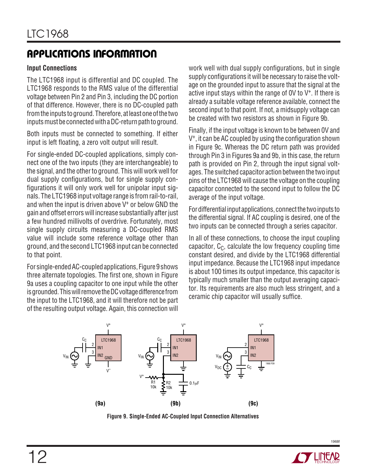#### **Input Connections**

The LTC1968 input is differential and DC coupled. The LTC1968 responds to the RMS value of the differential voltage between Pin 2 and Pin 3, including the DC portion of that difference. However, there is no DC-coupled path from the inputs to ground. Therefore, at least one of the two inputs must be connected with a DC-return path to ground.

Both inputs must be connected to something. If either input is left floating, a zero volt output will result.

For single-ended DC-coupled applications, simply connect one of the two inputs (they are interchangeable) to the signal, and the other to ground. This will work well for dual supply configurations, but for single supply configurations it will only work well for unipolar input signals. The LTC1968 input voltage range is from rail-to-rail, and when the input is driven above  $V^+$  or below GND the gain and offset errors will increase substantially after just a few hundred millivolts of overdrive. Fortunately, most single supply circuits measuring a DC-coupled RMS value will include some reference voltage other than ground, and the second LTC1968 input can be connected to that point.

For single-ended AC-coupled applications, Figure 9 shows three alternate topologies. The first one, shown in Figure 9a uses a coupling capacitor to one input while the other is grounded. This will remove the DC voltage difference from the input to the LTC1968, and it will therefore not be part of the resulting output voltage. Again, this connection will

work well with dual supply configurations, but in single supply configurations it will be necessary to raise the voltage on the grounded input to assure that the signal at the active input stays within the range of  $0V$  to  $V^+$ . If there is already a suitable voltage reference available, connect the second input to that point. If not, a midsupply voltage can be created with two resistors as shown in Figure 9b.

Finally, if the input voltage is known to be between 0V and V+, it can be AC coupled by using the configuration shown in Figure 9c. Whereas the DC return path was provided through Pin 3 in Figures 9a and 9b, in this case, the return path is provided on Pin 2, through the input signal voltages. The switched capacitor action between the two input pins of the LTC1968 will cause the voltage on the coupling capacitor connected to the second input to follow the DC average of the input voltage.

For differential input applications, connect the two inputs to the differential signal. If AC coupling is desired, one of the two inputs can be connected through a series capacitor.

In all of these connections, to choose the input coupling capacitor,  $C_{C}$ , calculate the low frequency coupling time constant desired, and divide by the LTC1968 differential input impedance. Because the LTC1968 input impedance is about 100 times its output impedance, this capacitor is typically much smaller than the output averaging capacitor. Its requirements are also much less stringent, and a ceramic chip capacitor will usually suffice.



**Figure 9. Single-Ended AC-Coupled Input Connection Alternatives**

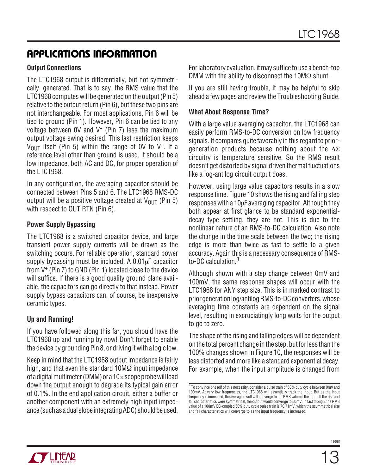#### **Output Connections**

The LTC1968 output is differentially, but not symmetrically, generated. That is to say, the RMS value that the LTC1968 computes will be generated on the output (Pin 5) relative to the output return (Pin 6), but these two pins are not interchangeable. For most applications, Pin 6 will be tied to ground (Pin 1). However, Pin 6 can be tied to any voltage between  $0V$  and  $V^+$  (Pin 7) less the maximum output voltage swing desired. This last restriction keeps  $V_{\text{OUT}}$  itself (Pin 5) within the range of OV to V<sup>+</sup>. If a reference level other than ground is used, it should be a low impedance, both AC and DC, for proper operation of the LTC1968.

In any configuration, the averaging capacitor should be connected between Pins 5 and 6. The LTC1968 RMS-DC output will be a positive voltage created at  $V_{\text{OUT}}$  (Pin 5) with respect to OUT RTN (Pin 6).

#### **Power Supply Bypassing**

The LTC1968 is a switched capacitor device, and large transient power supply currents will be drawn as the switching occurs. For reliable operation, standard power supply bypassing must be included. A  $0.01\mu$ F capacitor from V+ (Pin 7) to GND (Pin 1) located close to the device will suffice. If there is a good quality ground plane available, the capacitors can go directly to that instead. Power supply bypass capacitors can, of course, be inexpensive ceramic types.

#### **Up and Running!**

If you have followed along this far, you should have the LTC1968 up and running by now! Don't forget to enable the device by grounding Pin 8, or driving it with a logic low.

Keep in mind that the LTC1968 output impedance is fairly high, and that even the standard 10M $\Omega$  input impedance of a digital multimeter (DMM) or a  $10 \times$  scope probe will load down the output enough to degrade its typical gain error of 0.1%. In the end application circuit, either a buffer or another component with an extremely high input impedance (such as a dual slope integrating ADC) should be used.

For laboratory evaluation, it may suffice to use a bench-top DMM with the ability to disconnect the 10M $\Omega$  shunt.

If you are still having trouble, it may be helpful to skip ahead a few pages and review the Troubleshooting Guide.

#### **What About Response Time?**

With a large value averaging capacitor, the LTC1968 can easily perform RMS-to-DC conversion on low frequency signals. It compares quite favorably in this regard to priorgeneration products because nothing about the ∆Σ circuitry is temperature sensitive. So the RMS result doesn't get distorted by signal driven thermal fluctuations like a log-antilog circuit output does.

However, using large value capacitors results in a slow response time. Figure 10 shows the rising and falling step responses with a  $10\mu$ F averaging capacitor. Although they both appear at first glance to be standard exponentialdecay type settling, they are not. This is due to the nonlinear nature of an RMS-to-DC calculation. Also note the change in the time scale between the two; the rising edge is more than twice as fast to settle to a given accuracy. Again this is a necessary consequence of RMSto-DC calculation.<sup>3</sup>

Although shown with a step change between 0mV and 100mV, the same response shapes will occur with the LTC1968 for ANY step size. This is in marked contrast to prior generation log/antilog RMS-to-DC converters, whose averaging time constants are dependent on the signal level, resulting in excruciatingly long waits for the output to go to zero.

The shape of the rising and falling edges will be dependent on the total percent change in the step, but for less than the 100% changes shown in Figure 10, the responses will be less distorted and more like a standard exponential decay. For example, when the input amplitude is changed from

<sup>&</sup>lt;sup>3</sup> To convince oneself of this necessity, consider a pulse train of 50% duty cycle between 0mV and 100mV. At very low frequencies, the LTC1968 will essentially track the input. But as the input frequency is increased, the average result will converge to the RMS value of the input. If the rise and fall characteristics were symmetrical, the output would converge to 50mV. In fact though, the RMS value of a 100mV DC-coupled 50% duty cycle pulse train is 70.71mV, which the asymmetrical rise and fall characteristics will converge to as the input frequency is increased.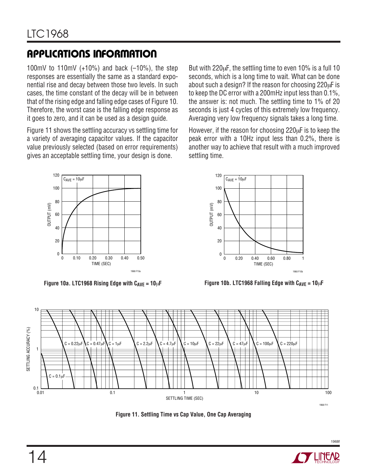100mV to 110mV  $(+10\%)$  and back  $(-10\%)$ , the step responses are essentially the same as a standard exponential rise and decay between those two levels. In such cases, the time constant of the decay will be in between that of the rising edge and falling edge cases of Figure 10. Therefore, the worst case is the falling edge response as it goes to zero, and it can be used as a design guide.

Figure 11 shows the settling accuracy vs settling time for a variety of averaging capacitor values. If the capacitor value previously selected (based on error requirements) gives an acceptable settling time, your design is done.

But with 220µF, the settling time to even 10% is a full 10 seconds, which is a long time to wait. What can be done about such a design? If the reason for choosing 220µF is to keep the DC error with a 200mHz input less than 0.1%, the answer is: not much. The settling time to 1% of 20 seconds is just 4 cycles of this extremely low frequency. Averaging very low frequency signals takes a long time.

However, if the reason for choosing 220µF is to keep the peak error with a 10Hz input less than 0.2%, there is another way to achieve that result with a much improved settling time.



**Figure 10a. LTC1968 Rising Edge with C<sub>AVE</sub> = 10**µ**F Figure 10b. LTC1968 Falling Edge with C<sub>AVE</sub> = 10**µ**F** 





**Figure 11. Settling Time vs Cap Value, One Cap Averaging**

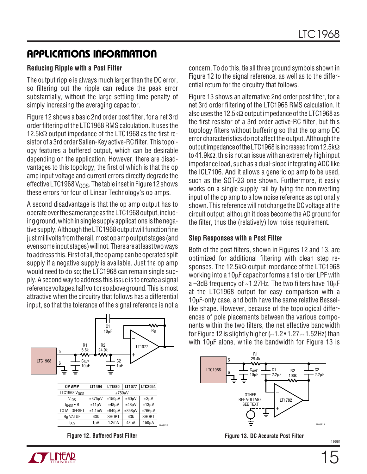#### **Reducing Ripple with a Post Filter**

The output ripple is always much larger than the DC error, so filtering out the ripple can reduce the peak error substantially, without the large settling time penalty of simply increasing the averaging capacitor.

Figure 12 shows a basic 2nd order post filter, for a net 3rd order filtering of the LTC1968 RMS calculation. It uses the 12.5kΩ output impedance of the LTC1968 as the first resistor of a 3rd order Sallen-Key active-RC filter. This topology features a buffered output, which can be desirable depending on the application. However, there are disadvantages to this topology, the first of which is that the op amp input voltage and current errors directly degrade the effective LTC1968 V<sub>OOS</sub>. The table inset in Figure 12 shows these errors for four of Linear Technology's op amps.

A second disadvantage is that the op amp output has to operate over the same range as the LTC1968 output, including ground, which in single supply applications is the negative supply. Although the LTC1968 output will function fine just millivolts from the rail, most op amp output stages (and even some input stages) will not. There are at least two ways to address this. First of all, the op amp can be operated split supply if a negative supply is available. Just the op amp would need to do so; the LTC1968 can remain single supply. A second way to address this issue is to create a signal reference voltage a half volt or so above ground. This is most attractive when the circuitry that follows has a differential input, so that the tolerance of the signal reference is not a



| <b>NP AMP</b> |  |  |  | . LT1494   LT1880   LT1077   LTC2054 |  |
|---------------|--|--|--|--------------------------------------|--|
| TC1968 Vooc   |  |  |  |                                      |  |

| LTC1968V <sub>00S</sub> | $±750 \mu V$    |              |                   |              |          |
|-------------------------|-----------------|--------------|-------------------|--------------|----------|
| Vios                    | $\pm 375 \mu V$ | ±150uV       | ±60µV             | $±3\mu V$    |          |
| $I_{B/OS}$ • R          | $±11\mu V$      | $±48\mu V$   | $±48\mu V$        | ±13µV        |          |
| <b>TOTAL OFFSET</b>     | ±1.1mV          | ±940uV       | $±858\mu V$       | $±766\mu$ V  |          |
| R <sub>R</sub> VALUE    | 43k             | <b>SHORT</b> | 43k               | <b>SHORT</b> |          |
| lso                     | 1uA             | 1.2mA        | 48 <sub>µ</sub> A | 150uA        | 1968 F12 |
|                         |                 |              |                   |              |          |

**TY LINUAR** 



Figure 13 shows an alternative 2nd order post filter, for a net 3rd order filtering of the LTC1968 RMS calculation. It also uses the 12.5kΩ output impedance of the LTC1968 as the first resistor of a 3rd order active-RC filter, but this topology filters without buffering so that the op amp DC error characteristics do not affect the output. Although the output impedance of the LTC1968 is increased from 12.5kΩ to 41.9k $\Omega$ , this is not an issue with an extremely high input impedance load, such as a dual-slope integrating ADC like the ICL7106. And it allows a generic op amp to be used, such as the SOT-23 one shown. Furthermore, it easily works on a single supply rail by tying the noninverting input of the op amp to a low noise reference as optionally shown. This reference will not change the DC voltage at the circuit output, although it does become the AC ground for the filter, thus the (relatively) low noise requirement.

#### **Step Responses with a Post Filter**

Both of the post filters, shown in Figures 12 and 13, are optimized for additional filtering with clean step responses. The 12.5kΩ output impedance of the LTC1968 working into a 10µF capacitor forms a 1st order LPF with a  $-3$ dB frequency of  $\sim$ 1.27Hz. The two filters have 10 $\mu$ F at the LTC1968 output for easy comparison with a 10µF-only case, and both have the same relative Bessellike shape. However, because of the topological differences of pole placements between the various components within the two filters, the net effective bandwidth for Figure 12 is slightly higher ( $\approx$ 1.2 $\bullet$ 1.27 $\approx$ 1.52Hz) than with 10µF alone, while the bandwidth for Figure 13 is



**Figure 12. Buffered Post Filter Figure 13. DC Accurate Post Filter**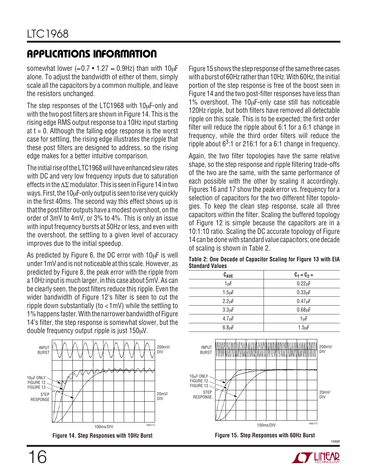somewhat lower ( $\approx$ 0.7 • 1.27  $\approx$  0.9Hz) than with 10 $\mu$ F alone. To adjust the bandwidth of either of them, simply scale all the capacitors by a common multiple, and leave the resistors unchanged.

The step responses of the LTC1968 with  $10\mu$ F-only and with the two post filters are shown in Figure 14. This is the rising edge RMS output response to a 10Hz input starting at  $t = 0$ . Although the falling edge response is the worst case for settling, the rising edge illustrates the ripple that these post filters are designed to address, so the rising edge makes for a better intuitive comparison.

The initial rise of the LTC1968 will have enhanced slew rates with DC and very low frequency inputs due to saturation effects in the ∆Σ modulator. This is seen in Figure 14 in two ways. First, the 10µF-only output is seen to rise very quickly in the first 40ms. The second way this effect shows up is that the post filter outputs have a modest overshoot, on the order of 3mV to 4mV, or 3% to 4%. This is only an issue with input frequency bursts at 50Hz or less, and even with the overshoot, the settling to a given level of accuracy improves due to the initial speedup.

As predicted by Figure 6, the DC error with 10µF is well under 1mV and is not noticeable at this scale. However, as predicted by Figure 8, the peak error with the ripple from a 10Hz input is much larger, in this case about 5mV. As can be clearly seen, the post filters reduce this ripple. Even the wider bandwidth of Figure 12's filter is seen to cut the ripple down substantially (to <1mV) while the settling to 1% happens faster. With the narrower bandwidth of Figure 14's filter, the step response is somewhat slower, but the double frequency output ripple is just 150µV.



**Figure 14. Step Responses with 10Hz Burst Figure 15. Step Responses with 60Hz Burst**

Figure 15 shows the step response of the same three cases with a burst of 60Hz rather than 10Hz. With 60Hz, the initial portion of the step response is free of the boost seen in Figure 14 and the two post-filter responses have less than 1% overshoot. The 10µF-only case still has noticeable 120Hz ripple, but both filters have removed all detectable ripple on this scale. This is to be expected; the first order filter will reduce the ripple about 6:1 for a 6:1 change in frequency, while the third order filters will reduce the ripple about  $6<sup>3</sup>$ :1 or 216:1 for a 6:1 change in frequency.

Again, the two filter topologies have the same relative shape, so the step response and ripple filtering trade-offs of the two are the same, with the same performance of each possible with the other by scaling it accordingly. Figures 16 and 17 show the peak error vs. frequency for a selection of capacitors for the two different filter topologies. To keep the clean step response, scale all three capacitors within the filter. Scaling the buffered topology of Figure 12 is simple because the capacitors are in a 10:1:10 ratio. Scaling the DC accurate topology of Figure 14 can be done with standard value capacitors; one decade of scaling is shown in Table 2.

**Table 2: One Decade of Capacitor Scaling for Figure 13 with EIA Standard Values**

| $C_{AVE}$          | $C_1 = C_2 =$       |
|--------------------|---------------------|
| 1µF                | $0.22 \mu F$        |
| $1.5 \mu F$        | $0.33\muF$          |
| $2.2 \mu F$        | $0.47 \mu F$        |
| 3.3 <sub>µ</sub> F | 0.68 <sub>µ</sub> F |
| $4.7 \mu F$        | 1µF                 |
| $6.8 \mu F$        | $1.5 \mu F$         |



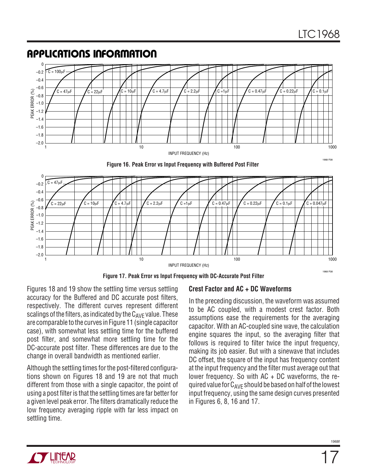#### **Figure 16. Peak Error vs Input Frequency with Buffered Post Filter** INPUT FREQUENCY (Hz) 1 –1.2 PEAK ERROR (%)<br>
PEAK ERROR (%)<br>
1.0<br>
1.0 –0.8 –0.6  $-0.4$  $10$  1000  $100$  1000  $100$  1000  $1000$ 1968 F08 –1.4  $-1.6$  $-1.8$  $-2<sub>0</sub>$  $-0.2$ 0  $C = 22uF$  $-C = 100uF$  $C = 47 \mu$ F  $C = 22 \mu$ F  $C = 10 \mu$ F  $C = 4.7 \mu$ F  $C = 2.2 \mu$ F  $C = 10 \mu$ F  $C = 0.47 \mu$ F  $C = 0.22 \mu$ F  $C = 0.1 \mu$ F  $-1.2$  $PEXK$  ERROR  $(%)$ <br> $-1.0$ <br> $-1.2$ <br> $-1.2$ –0.8 –0.6 –0.4  $-1.4$ –1.6  $-1.8$ –2.0 –0.2 0  $C = 22\mu F$  $C = 47uF$ C = 10µF C = 4.7µF C = 2.2µF C =1µF C = 0.47µF C = 0.22µF C = 0.1µF C = 0.047µF

**Figure 17. Peak Error vs Input Frequency with DC-Accurate Post Filter**

INPUT FREQUENCY (Hz)

Figures 18 and 19 show the settling time versus settling accuracy for the Buffered and DC accurate post filters, respectively. The different curves represent different scalings of the filters, as indicated by the  $C_{AVF}$  value. These are comparable to the curves in Figure 11 (single capacitor case), with somewhat less settling time for the buffered post filter, and somewhat more settling time for the DC-accurate post filter. These differences are due to the change in overall bandwidth as mentioned earlier.

**APPLICATIONS INFORMATION** 

Although the settling times for the post-filtered configurations shown on Figures 18 and 19 are not that much different from those with a single capacitor, the point of using a post filter is that the settling times are far better for a given level peak error. The filters dramatically reduce the low frequency averaging ripple with far less impact on settling time.

#### **Crest Factor and AC + DC Waveforms**

 $10$  1000  $100$  1000  $100$  1000  $100$ 

In the preceding discussion, the waveform was assumed to be AC coupled, with a modest crest factor. Both assumptions ease the requirements for the averaging capacitor. With an AC-coupled sine wave, the calculation engine squares the input, so the averaging filter that follows is required to filter twice the input frequency, making its job easier. But with a sinewave that includes DC offset, the square of the input has frequency content at the input frequency and the filter must average out that lower frequency. So with AC + DC waveforms, the required value for  $C_{AVF}$  should be based on half of the lowest input frequency, using the same design curves presented in Figures 6, 8, 16 and 17.



1

1968 F08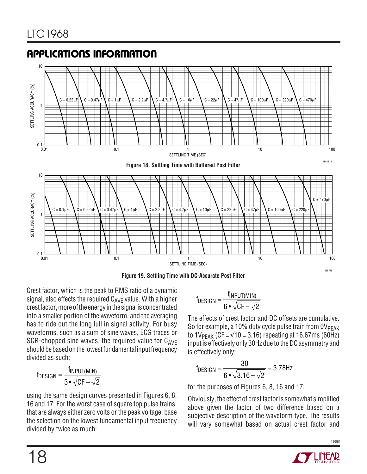

**Figure 19. Settling Time with DC-Accurate Post Filter**

Crest factor, which is the peak to RMS ratio of a dynamic signal, also effects the required  $C_{AVF}$  value. With a higher crest factor, more of the energy in the signal is concentrated into a smaller portion of the waveform, and the averaging has to ride out the long lull in signal activity. For busy waveforms, such as a sum of sine waves, ECG traces or SCR-chopped sine waves, the required value for  $C_{AVE}$ should be based on the lowest fundamental input frequency divided as such:

$$
f_{DESIGN} = \frac{f_{INPUT(MIN)}}{3 \cdot \sqrt{CF - \sqrt{2}}}
$$

using the same design curves presented in Figures 6, 8, 16 and 17. For the worst case of square top pulse trains, that are always either zero volts or the peak voltage, base the selection on the lowest fundamental input frequency divided by twice as much:

$$
{}^f\text{DESIGN} = \frac{I_{\text{INPUT(MIN)}}}{6 \cdot \sqrt{CF - \sqrt{2}}}
$$

The effects of crest factor and DC offsets are cumulative. So for example, a 10% duty cycle pulse train from  $0V<sub>PEAK</sub>$ to  $1V_{PEAK}$  (CF =  $\sqrt{10}$  = 3.16) repeating at 16.67ms (60Hz) input is effectively only 30Hz due to the DC asymmetry and is effectively only:

$$
f_{DESIGN} = \frac{30}{6 \cdot \sqrt{3.16 - \sqrt{2}}} = 3.78 Hz
$$

for the purposes of Figures 6, 8, 16 and 17.

Obviously, the effect of crest factor is somewhat simplified above given the factor of two difference based on a subjective description of the waveform type. The results will vary somewhat based on actual crest factor and

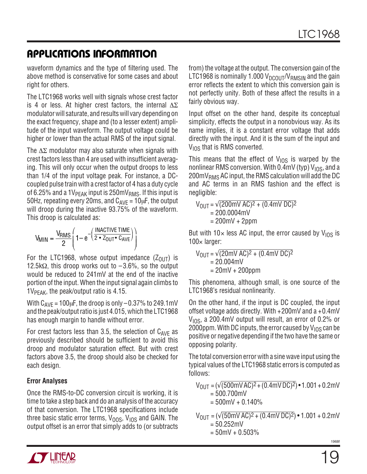waveform dynamics and the type of filtering used. The above method is conservative for some cases and about right for others.

The LTC1968 works well with signals whose crest factor is 4 or less. At higher crest factors, the internal  $\Delta \Sigma$ modulator will saturate, and results will vary depending on the exact frequency, shape and (to a lesser extent) amplitude of the input waveform. The output voltage could be higher or lower than the actual RMS of the input signal.

The  $\Delta\Sigma$  modulator may also saturate when signals with crest factors less than 4 are used with insufficient averaging. This will only occur when the output droops to less than 1/4 of the input voltage peak. For instance, a DCcoupled pulse train with a crest factor of 4 has a duty cycle of 6.25% and a 1V $_{PEAK}$  input is 250mV $_{RMS}$ . If this input is 50Hz, repeating every 20ms, and  $C_{AVF} = 10 \mu F$ , the output will droop during the inactive 93.75% of the waveform. This droop is calculated as:

$$
V_{MIN} = \frac{V_{RMS}}{2} \left( 1 - e^{-\left(\frac{INACTIVE TIME}{2 \cdot Z_{OUT} \cdot C_{AVE}}\right)} \right)
$$

For the LTC1968, whose output impedance  $(Z_{OUT})$  is 12.5k $\Omega$ , this droop works out to  $-3.6\%$ , so the output would be reduced to 241mV at the end of the inactive portion of the input. When the input signal again climbs to  $1V_{PFAK}$ , the peak/output ratio is 4.15.

With  $C_{AVF}$  = 100 $\mu$ F, the droop is only -0.37% to 249.1mV and the peak/output ratio is just 4.015, which the LTC1968 has enough margin to handle without error.

For crest factors less than 3.5, the selection of  $C_{AVE}$  as previously described should be sufficient to avoid this droop and modulator saturation effect. But with crest factors above 3.5, the droop should also be checked for each design.

#### **Error Analyses**

Once the RMS-to-DC conversion circuit is working, it is time to take a step back and do an analysis of the accuracy of that conversion. The LTC1968 specifications include three basic static error terms,  $V_{\Omega$ <sub>OS</sub>,  $V_{\text{LOS}}$  and GAIN. The output offset is an error that simply adds to (or subtracts

from) the voltage at the output. The conversion gain of the LTC1968 is nominally 1.000  $V_{DCOUT}/V_{RMSIN}$  and the gain error reflects the extent to which this conversion gain is not perfectly unity. Both of these affect the results in a fairly obvious way.

Input offset on the other hand, despite its conceptual simplicity, effects the output in a nonobvious way. As its name implies, it is a constant error voltage that adds directly with the input. And it is the sum of the input and  $V_{\text{LOS}}$  that is RMS converted.

This means that the effect of  $V_{10S}$  is warped by the nonlinear RMS conversion. With  $0.4$ mV (typ) V<sub>IOS</sub>, and a  $200 \text{mV}_{\text{RMS}}$  AC input, the RMS calculation will add the DC and AC terms in an RMS fashion and the effect is negligible:

$$
V_{\text{OUT}} = \sqrt{(200 \text{mV AC})^2 + (0.4 \text{mV DC})^2}
$$
  
= 200.0004 \text{mV}  
= 200 \text{mV} + 2 \text{ppm}

But with 10 $\times$  less AC input, the error caused by V<sub>IOS</sub> is 100 $\times$  larger:

$$
V_{\text{OUT}} = \sqrt{(20 \text{mV AC})^2 + (0.4 \text{mV DC})^2}
$$
  
= 20.004 mV  
= 20 mV + 200 ppm

This phenomena, although small, is one source of the LTC1968's residual nonlinearity.

On the other hand, if the input is DC coupled, the input offset voltage adds directly. With +200mV and a +0.4mV  $V<sub>10S</sub>$ , a 200.4mV output will result, an error of 0.2% or 2000ppm. With DC inputs, the error caused by  $V_{10S}$  can be positive or negative depending if the two have the same or opposing polarity.

The total conversion error with a sine wave input using the typical values of the LTC1968 static errors is computed as follows:

 $V_{\text{OIII}} = (\sqrt{(500 \text{m} \text{V} \text{AC})^2 + (0.4 \text{m} \text{V} \text{DC})^2}) \cdot 1.001 + 0.2 \text{m} \text{V}$  $= 500.700$ mV  $= 500$ mV + 0.140%

 $V_{\text{OUT}} = (\sqrt{(50 \text{mV AC})^2 + (0.4 \text{mV DC})^2}) \cdot 1.001 + 0.2 \text{mV}$  $= 50.252$ mV  $= 50$ mV + 0.503%

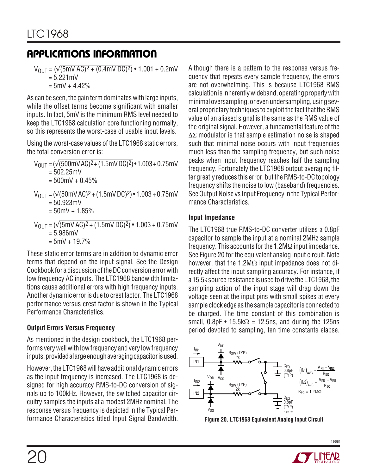$V_{\text{OUT}} = (\sqrt{(5 \text{mV AC})^2 + (0.4 \text{mV DC})^2}) \cdot 1.001 + 0.2 \text{mV}$  $= 5.221$  mV

 $= 5mV + 4.42%$ 

As can be seen, the gain term dominates with large inputs, while the offset terms become significant with smaller inputs. In fact, 5mV is the minimum RMS level needed to keep the LTC1968 calculation core functioning normally, so this represents the worst-case of usable input levels.

Using the worst-case values of the LTC1968 static errors, the total conversion error is:

 $V_{\text{OUT}} = (\sqrt{(500 \text{mV} \text{AC})^2 + (1.5 \text{mV} \text{DC})^2)} \cdot 1.003 + 0.75 \text{mV}$  $= 502.25 \text{mV}$  $= 500$ mV + 0.45%  $V_{\text{OUT}} = (\sqrt{(50 \text{mV AC})^2 + (1.5 \text{mV DC})^2)} \cdot 1.003 + 0.75 \text{mV}$  $= 50.923$ mV  $= 50$ mV + 1.85%  $V_{\text{OIII}} = (\sqrt{(5 \text{mV AC})^2 + (1.5 \text{mV DC})^2)} \cdot 1.003 + 0.75 \text{mV}$  $= 5.986$ mV  $= 5mV + 19.7%$ 

These static error terms are in addition to dynamic error terms that depend on the input signal. See the Design Cookbook for a discussion of the DC conversion error with low frequency AC inputs. The LTC1968 bandwidth limitations cause additional errors with high frequency inputs. Another dynamic error is due to crest factor. The LTC1968 performance versus crest factor is shown in the Typical Performance Characteristics.

### **Output Errors Versus Frequency**

As mentioned in the design cookbook, the LTC1968 performs very well with low frequency and very low frequency inputs, provided a large enough averaging capacitor is used.

However, the LTC1968 will have additional dynamic errors as the input frequency is increased. The LTC1968 is designed for high accuracy RMS-to-DC conversion of signals up to 100kHz. However, the switched capacitor circuitry samples the inputs at a modest 2MHz nominal. The response versus frequency is depicted in the Typical Performance Characteristics titled Input Signal Bandwidth.

Although there is a pattern to the response versus frequency that repeats every sample frequency, the errors are not overwhelming. This is because LTC1968 RMS calculation is inherently wideband, operating properly with minimal oversampling, or even undersampling, using several proprietary techniques to exploit the fact that the RMS value of an aliased signal is the same as the RMS value of the original signal. However, a fundamental feature of the ∆Σ modulator is that sample estimation noise is shaped such that minimal noise occurs with input frequencies much less than the sampling frequency, but such noise peaks when input frequency reaches half the sampling frequency. Fortunately the LTC1968 output averaging filter greatly reduces this error, but the RMS-to-DC topology frequency shifts the noise to low (baseband) frequencies. See Output Noise vs Input Frequency in the Typical Performance Characteristics.

#### **Input Impedance**

The LTC1968 true RMS-to-DC converter utilizes a 0.8pF capacitor to sample the input at a nominal 2MHz sample frequency. This accounts for the 1.2M $\Omega$  input impedance. See Figure 20 for the equivalent analog input circuit. Note however, that the 1.2MΩ input impedance does not directly affect the input sampling accuracy. For instance, if a 15.5k source resistance is used to drive the LTC1968, the sampling action of the input stage will drag down the voltage seen at the input pins with small spikes at every sample clock edge as the sample capacitor is connected to be charged. The time constant of this combination is small,  $0.8pF \cdot 15.5k\Omega = 12.5ns$ , and during the 125ns period devoted to sampling, ten time constants elapse.



**Figure 20. LTC1968 Equivalent Analog Input Circuit**

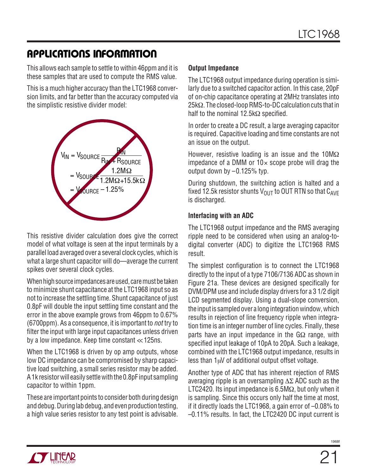This allows each sample to settle to within 46ppm and it is these samples that are used to compute the RMS value.

This is a much higher accuracy than the LTC1968 conversion limits, and far better than the accuracy computed via the simplistic resistive divider model:



This resistive divider calculation does give the correct model of what voltage is seen at the input terminals by a parallel load averaged over a several clock cycles, which is what a large shunt capacitor will do—average the current spikes over several clock cycles.

When high source impedances are used, care must be taken to minimize shunt capacitance at the LTC1968 input so as not to increase the settling time. Shunt capacitance of just 0.8pF will double the input settling time constant and the error in the above example grows from 46ppm to 0.67% (6700ppm). As a consequence, it is important to not try to filter the input with large input capacitances unless driven by a low impedance. Keep time constant <<125ns.

When the LTC1968 is driven by op amp outputs, whose low DC impedance can be compromised by sharp capacitive load switching, a small series resistor may be added. A 1k resistor will easily settle with the 0.8pF input sampling capacitor to within 1ppm.

These are important points to consider both during design and debug. During lab debug, and even production testing, a high value series resistor to any test point is advisable.

#### **Output Impedance**

The LTC1968 output impedance during operation is similarly due to a switched capacitor action. In this case, 20pF of on-chip capacitance operating at 2MHz translates into 25kΩ. The closed-loop RMS-to-DC calculation cuts that in half to the nominal 12.5kΩ specified.

In order to create a DC result, a large averaging capacitor is required. Capacitive loading and time constants are not an issue on the output.

However, resistive loading is an issue and the 10M $\Omega$ impedance of a DMM or  $10 \times$  scope probe will drag the output down by –0.125% typ.

During shutdown, the switching action is halted and a fixed 12.5k resistor shunts  $V_{OIII}$  to OUT RTN so that  $C_{AVF}$ is discharged.

#### **Interfacing with an ADC**

The LTC1968 output impedance and the RMS averaging ripple need to be considered when using an analog-todigital converter (ADC) to digitize the LTC1968 RMS result.

The simplest configuration is to connect the LTC1968 directly to the input of a type 7106/7136 ADC as shown in Figure 21a. These devices are designed specifically for DVM/DPM use and include display drivers for a 3 1/2 digit LCD segmented display. Using a dual-slope conversion, the input is sampled over a long integration window, which results in rejection of line frequency ripple when integration time is an integer number of line cycles. Finally, these parts have an input impedance in the  $G\Omega$  range, with specified input leakage of 10pA to 20pA. Such a leakage, combined with the LTC1968 output impedance, results in less than  $1\mu$ V of additional output offset voltage.

Another type of ADC that has inherent rejection of RMS averaging ripple is an oversampling ∆Σ ADC such as the LTC2420. Its input impedance is 6.5M $\Omega$ , but only when it is sampling. Since this occurs only half the time at most, if it directly loads the LTC1968, a gain error of –0.08% to –0.11% results. In fact, the LTC2420 DC input current is

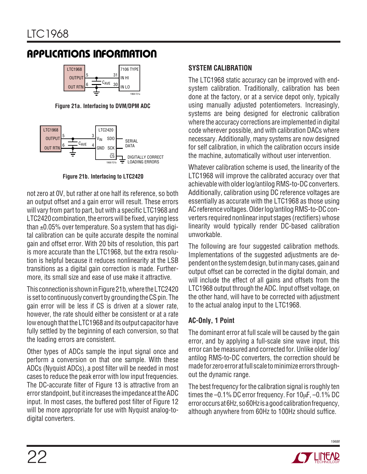

**Figure 21a. Interfacing to DVM/DPM ADC**



**Figure 21b. Interfacing to LTC2420**

not zero at 0V, but rather at one half its reference, so both an output offset and a gain error will result. These errors will vary from part to part, but with a specific LTC1968 and LTC2420 combination, the errors will be fixed, varying less than  $\pm 0.05\%$  over temperature. So a system that has digital calibration can be quite accurate despite the nominal gain and offset error. With 20 bits of resolution, this part is more accurate than the LTC1968, but the extra resolution is helpful because it reduces nonlinearity at the LSB transitions as a digital gain correction is made. Furthermore, its small size and ease of use make it attractive.

This connection is shown in Figure 21b, where the LTC2420 is set to continuously convert by grounding the CS pin. The gain error will be less if CS is driven at a slower rate, however, the rate should either be consistent or at a rate low enough that the LTC1968 and its output capacitor have fully settled by the beginning of each conversion, so that the loading errors are consistent.

Other types of ADCs sample the input signal once and perform a conversion on that one sample. With these ADCs (Nyquist ADCs), a post filter will be needed in most cases to reduce the peak error with low input frequencies. The DC-accurate filter of Figure 13 is attractive from an error standpoint, but it increases the impedance at the ADC input. In most cases, the buffered post filter of Figure 12 will be more appropriate for use with Nyquist analog-todigital converters.

#### **SYSTEM CALIBRATION**

The LTC1968 static accuracy can be improved with endsystem calibration. Traditionally, calibration has been done at the factory, or at a service depot only, typically using manually adjusted potentiometers. Increasingly, systems are being designed for electronic calibration where the accuracy corrections are implemented in digital code wherever possible, and with calibration DACs where necessary. Additionally, many systems are now designed for self calibration, in which the calibration occurs inside the machine, automatically without user intervention.

Whatever calibration scheme is used, the linearity of the LTC1968 will improve the calibrated accuracy over that achievable with older log/antilog RMS-to-DC converters. Additionally, calibration using DC reference voltages are essentially as accurate with the LTC1968 as those using AC reference voltages. Older log/antilog RMS-to-DC converters required nonlinear input stages (rectifiers) whose linearity would typically render DC-based calibration unworkable.

The following are four suggested calibration methods. Implementations of the suggested adjustments are dependent on the system design, but in many cases, gain and output offset can be corrected in the digital domain, and will include the effect of all gains and offsets from the LTC1968 output through the ADC. Input offset voltage, on the other hand, will have to be corrected with adjustment to the actual analog input to the LTC1968.

### **AC-Only, 1 Point**

The dominant error at full scale will be caused by the gain error, and by applying a full-scale sine wave input, this error can be measured and corrected for. Unlike older log/ antilog RMS-to-DC converters, the correction should be made for zero error at full scale to minimize errors throughout the dynamic range.

The best frequency for the calibration signal is roughly ten times the –0.1% DC error frequency. For 10µF, –0.1% DC error occurs at 6Hz, so 60Hz is a good calibration frequency, although anywhere from 60Hz to 100Hz should suffice.

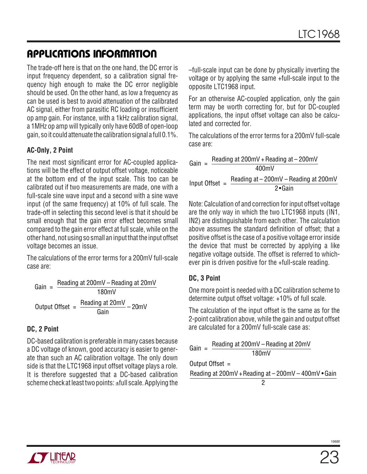The trade-off here is that on the one hand, the DC error is input frequency dependent, so a calibration signal frequency high enough to make the DC error negligible should be used. On the other hand, as low a frequency as can be used is best to avoid attenuation of the calibrated AC signal, either from parasitic RC loading or insufficient op amp gain. For instance, with a 1kHz calibration signal, a 1MHz op amp will typically only have 60dB of open-loop gain, so it could attenuate the calibration signal a full 0.1%.

#### **AC-Only, 2 Point**

The next most significant error for AC-coupled applications will be the effect of output offset voltage, noticeable at the bottom end of the input scale. This too can be calibrated out if two measurements are made, one with a full-scale sine wave input and a second with a sine wave input (of the same frequency) at 10% of full scale. The trade-off in selecting this second level is that it should be small enough that the gain error effect becomes small compared to the gain error effect at full scale, while on the other hand, not using so small an input that the input offset voltage becomes an issue.

The calculations of the error terms for a 200mV full-scale case are:

Gain =  $\frac{\text{Reading at } 200 \text{mV} - \text{Reading at } 20 \text{mV}}{\text{[O/H]} - \text{Reading at } 20 \text{mV}}$ 180mV Output Offset =  $\frac{\text{Reading at 20mV}}{\text{Gain}} - 20\text{mV}$ 

#### **DC, 2 Point**

DC-based calibration is preferable in many cases because a DC voltage of known, good accuracy is easier to generate than such an AC calibration voltage. The only down side is that the LTC1968 input offset voltage plays a role. It is therefore suggested that a DC-based calibration scheme check at least two points: ±full scale. Applying the –full-scale input can be done by physically inverting the voltage or by applying the same +full-scale input to the opposite LTC1968 input.

For an otherwise AC-coupled application, only the gain term may be worth correcting for, but for DC-coupled applications, the input offset voltage can also be calculated and corrected for.

The calculations of the error terms for a 200mV full-scale case are:

Gain =  $\frac{\text{Reading at } 200 \text{mV} + \text{Reading at } - 200 \text{mV}}{\text{[a)}}$  $400mV$ Input Offset =  $\frac{\text{Reading at} - 200 \text{mV} - \text{Reading at} 200 \text{mV}}{200 \text{mV}}$ 2 •Gain

Note: Calculation of and correction for input offset voltage are the only way in which the two LTC1968 inputs (IN1, IN2) are distinguishable from each other. The calculation above assumes the standard definition of offset; that a positive offset is the case of a positive voltage error inside the device that must be corrected by applying a like negative voltage outside. The offset is referred to whichever pin is driven positive for the +full-scale reading.

#### **DC, 3 Point**

One more point is needed with a DC calibration scheme to determine output offset voltage: +10% of full scale.

The calculation of the input offset is the same as for the 2-point calibration above, while the gain and output offset are calculated for a 200mV full-scale case as:

|  | Gain = $\frac{\text{Reading at } 200 \text{mV}}{\text{ - Reading at } 20 \text{mV}}$ |
|--|--------------------------------------------------------------------------------------|
|  | 180mV                                                                                |
|  | Output Offset $=$                                                                    |
|  | Reading at 200mV + Reading at - 200mV - 400mV • Gain                                 |
|  |                                                                                      |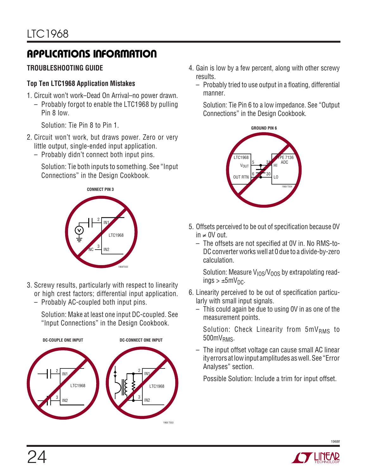### **TROUBLESHOOTING GUIDE**

#### **Top Ten LTC1968 Application Mistakes**

- 1. Circuit won't work–Dead On Arrival–no power drawn.
	- Probably forgot to enable the LTC1968 by pulling Pin 8 low.

Solution: Tie Pin 8 to Pin 1.

- 2. Circuit won't work, but draws power. Zero or very little output, single-ended input application.
	- Probably didn't connect both input pins.

Solution: Tie both inputs to something. See "Input Connections" in the Design Cookbook.



- 3. Screwy results, particularly with respect to linearity or high crest factors; differential input application.
	- Probably AC-coupled both input pins.

Solution: Make at least one input DC-coupled. See "Input Connections" in the Design Cookbook.



- 4. Gain is low by a few percent, along with other screwy results.
	- Probably tried to use output in a floating, differential manner.

Solution: Tie Pin 6 to a low impedance. See "Output Connections" in the Design Cookbook.



- 5. Offsets perceived to be out of specification because 0V in ≠ 0V out.
	- The offsets are not specified at 0V in. No RMS-to-DC converter works well at 0 due to a divide-by-zero calculation.

Solution: Measure  $V_{10S}/V_{00S}$  by extrapolating read $inqs > ±5mV<sub>DC</sub>$ .

- 6. Linearity perceived to be out of specification particularly with small input signals.
	- This could again be due to using 0V in as one of the measurement points.

Solution: Check Linearity from  $5mV<sub>RMS</sub>$  to 500mV<sub>RMS</sub>.

– The input offset voltage can cause small AC linear ityerrors at low input amplitudes as well. See "Error Analyses" section.

Possible Solution: Include a trim for input offset.

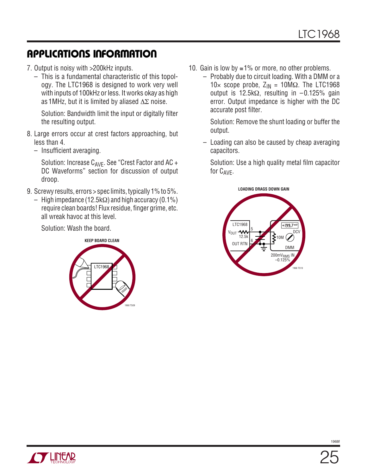- 7. Output is noisy with >200kHz inputs.
	- This is a fundamental characteristic of this topology. The LTC1968 is designed to work very well with inputs of 100kHz or less. It works okay as high as 1MHz, but it is limited by aliased ∆Σ noise.

Solution: Bandwidth limit the input or digitally filter the resulting output.

- 8. Large errors occur at crest factors approaching, but less than 4.
	- Insufficient averaging.

Solution: Increase  $C_{AVF}$ . See "Crest Factor and AC + DC Waveforms" section for discussion of output droop.

- 9. Screwy results, errors > spec limits, typically 1% to 5%.
	- High impedance (12.5kΩ) and high accuracy (0.1%) require clean boards! Flux residue, finger grime, etc. all wreak havoc at this level.

Solution: Wash the board.



- 10. Gain is low by  $\leq 1\%$  or more, no other problems.
	- Probably due to circuit loading. With a DMM or a 10× scope probe,  $Z_{IN} = 10M\Omega$ . The LTC1968 output is 12.5kΩ, resulting in –0.125% gain error. Output impedance is higher with the DC accurate post filter.

Solution: Remove the shunt loading or buffer the output.

– Loading can also be caused by cheap averaging capacitors.

Solution: Use a high quality metal film capacitor for C<sub>AVE</sub>.



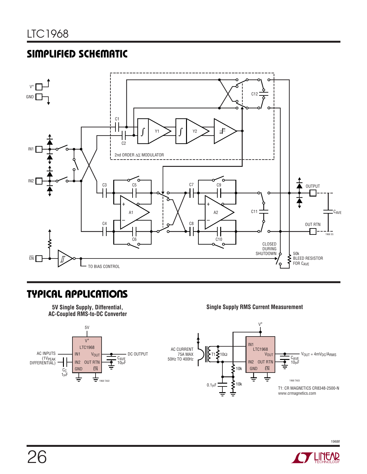### **SIMPLIFIED SCHEMATIC**



### **TYPICAL APPLICATIONS**

**Single Supply RMS Current Measurement**



**<sup>5</sup>V Single Supply, Differential, AC-Coupled RMS-to-DC Converter**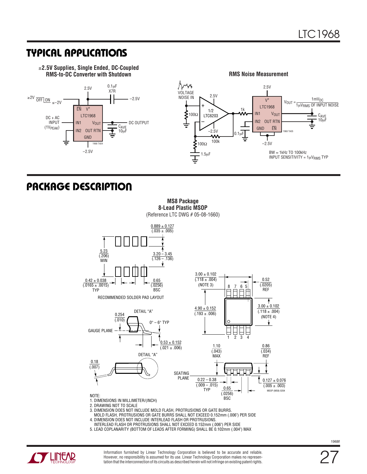### **TYPICAL APPLICATIONS**







### **U PACKAGE DESCRIPTIO**



**MS8 Package 8-Lead Plastic MSOP**

3. DIMENSION DOES NOT INCLUDE MOLD FLASH, PROTRUSIONS OR GATE BURRS.

MOLD FLASH, PROTRUSIONS OR GATE BURRS SHALL NOT EXCEED 0.152mm (.006") PER SIDE

- 4. DIMENSION DOES NOT INCLUDE INTERLEAD FLASH OR PROTRUSIONS.
- INTERLEAD FLASH OR PROTRUSIONS SHALL NOT EXCEED 0.152mm (.006") PER SIDE
- 5. LEAD COPLANARITY (BOTTOM OF LEADS AFTER FORMING) SHALL BE 0.102mm (.004") MAX